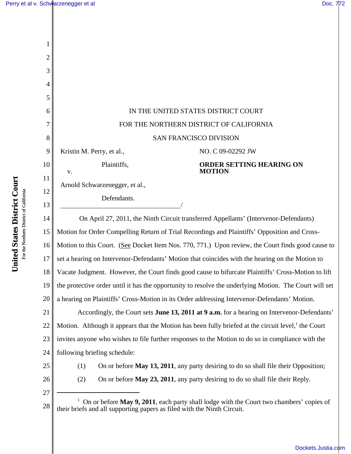| 2        |                                                                                                                                                                    |  |  |  |  |
|----------|--------------------------------------------------------------------------------------------------------------------------------------------------------------------|--|--|--|--|
| 3        |                                                                                                                                                                    |  |  |  |  |
|          |                                                                                                                                                                    |  |  |  |  |
| 5        |                                                                                                                                                                    |  |  |  |  |
| 6        | IN THE UNITED STATES DISTRICT COURT                                                                                                                                |  |  |  |  |
| 7        | FOR THE NORTHERN DISTRICT OF CALIFORNIA                                                                                                                            |  |  |  |  |
| 8        | <b>SAN FRANCISCO DIVISION</b>                                                                                                                                      |  |  |  |  |
| 9        | Kristin M. Perry, et al.,<br>NO. C 09-02292 JW                                                                                                                     |  |  |  |  |
| 10       | Plaintiffs,<br><b>ORDER SETTING HEARING ON</b><br><b>MOTION</b><br>${\bf V}$ .                                                                                     |  |  |  |  |
| 11       | Arnold Schwarzenegger, et al.,                                                                                                                                     |  |  |  |  |
| 12<br>13 | Defendants.                                                                                                                                                        |  |  |  |  |
| 14       | On April 27, 2011, the Ninth Circuit transferred Appellants' (Intervenor-Defendants)                                                                               |  |  |  |  |
| 15       | Motion for Order Compelling Return of Trial Recordings and Plaintiffs' Opposition and Cross-                                                                       |  |  |  |  |
| 16       | Motion to this Court. (See Docket Item Nos. 770, 771.) Upon review, the Court finds good cause to                                                                  |  |  |  |  |
| 17       | set a hearing on Intervenor-Defendants' Motion that coincides with the hearing on the Motion to                                                                    |  |  |  |  |
| 18       | Vacate Judgment. However, the Court finds good cause to bifurcate Plaintiffs' Cross-Motion to lift                                                                 |  |  |  |  |
| 19       | the protective order until it has the opportunity to resolve the underlying Motion. The Court will set                                                             |  |  |  |  |
| 20       | a hearing on Plaintiffs' Cross-Motion in its Order addressing Intervenor-Defendants' Motion.                                                                       |  |  |  |  |
| 21       | Accordingly, the Court sets June 13, 2011 at 9 a.m. for a hearing on Intervenor-Defendants'                                                                        |  |  |  |  |
| 22       | Motion. Although it appears that the Motion has been fully briefed at the circuit level, $\frac{1}{1}$ the Court                                                   |  |  |  |  |
| 23       | invites anyone who wishes to file further responses to the Motion to do so in compliance with the                                                                  |  |  |  |  |
| 24       | following briefing schedule:                                                                                                                                       |  |  |  |  |
| 25       | On or before <b>May 13, 2011</b> , any party desiring to do so shall file their Opposition;<br>(1)                                                                 |  |  |  |  |
| 26       | (2)<br>On or before May 23, 2011, any party desiring to do so shall file their Reply.                                                                              |  |  |  |  |
| 27<br>28 | On or before May 9, 2011, each party shall lodge with the Court two chambers' copies of<br>their briefs and all supporting papers as filed with the Ninth Circuit. |  |  |  |  |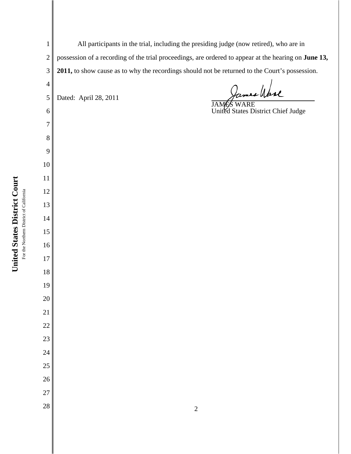For the Northern District of California For the Northern District of California

**United States District Court**

United States District Court

All participants in the trial, including the presiding judge (now retired), who are in possession of a recording of the trial proceedings, are ordered to appear at the hearing on **June 13, 2011,** to show cause as to why the recordings should not be returned to the Court's possession.

Dated: April 28, 2011

James Wase

JAMES WARE United States District Chief Judge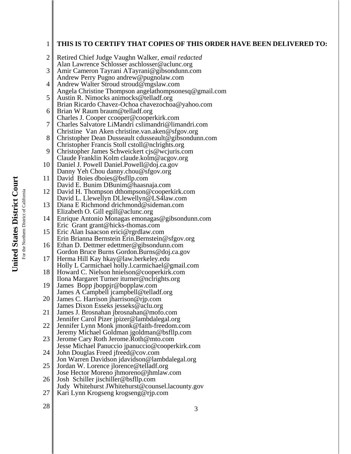1

2

3

| 4  | Andrew Walter Stroud stroud@mgslaw.com                                                          |
|----|-------------------------------------------------------------------------------------------------|
|    | Angela Christine Thompson angelathompsonesq@gmail.com                                           |
| 5  | Austin R. Nimocks animocks@telladf.org                                                          |
|    | Brian Ricardo Chavez-Ochoa chavezochoa@yahoo.com                                                |
| 6  | Brian W Raum braum@telladf.org                                                                  |
|    | Charles J. Cooper ccooper@cooperkirk.com                                                        |
| 7  | Charles Salvatore LiMandri cslimandri@limandri.com                                              |
|    | Christine Van Aken christine.van.aken@sfgov.org                                                 |
| 8  | Christopher Dean Dusseault cdusseault@gibsondunn.com                                            |
| 9  | Christopher Francis Stoll cstoll@nclrights.org<br>Christopher James Schweickert cjs@wcjuris.com |
|    | Claude Franklin Kolm claude.kolm@acgov.org                                                      |
| 10 | Daniel J. Powell Daniel.Powell@doj.ca.gov                                                       |
|    | Danny Yeh Chou danny.chou@sfgov.org                                                             |
| 11 | David Boies dboies@bsfllp.com                                                                   |
|    | David E. Bunim DBunim@haasnaja.com                                                              |
| 12 | David H. Thompson dthompson@cooperkirk.com                                                      |
|    | David L. Llewellyn DLlewellyn@LS4law.com                                                        |
| 13 | Diana E Richmond drichmond@sideman.com                                                          |
|    | Elizabeth O. Gill egill@aclunc.org                                                              |
| 14 | Enrique Antonio Monagas emonagas@gibsondunn.com                                                 |
|    | Eric Grant grant@hicks-thomas.com                                                               |
| 15 | Eric Alan Isaacson erici@rgrdlaw.com                                                            |
|    | Erin Brianna Bernstein Erin.Bernstein@sfgov.org                                                 |
| 16 | Ethan D. Dettmer edettmer@gibsondunn.com                                                        |
|    | Gordon Bruce Burns Gordon.Burns@doj.ca.gov                                                      |
| 17 | Herma Hill Kay hkay@law.berkeley.edu                                                            |
| 18 | Holly L Carmichael holly.l.carmichael@gmail.com<br>Howard C. Nielson hnielson@cooperkirk.com    |
|    | Ilona Margaret Turner iturner@nclrights.org                                                     |
| 19 | James Bopp jboppjr@bopplaw.com                                                                  |
|    | James A Campbell jcampbell@telladf.org                                                          |
| 20 | James C. Harrison jharrison@rjp.com                                                             |
|    | James Dixon Esseks jesseks@aclu.org                                                             |
| 21 | James J. Brosnahan jbrosnahan@mofo.com                                                          |
|    | Jennifer Carol Pizer jpizer@lambdalegal.org                                                     |
| 22 | Jennifer Lynn Monk jmonk@faith-freedom.com                                                      |
|    | Jeremy Michael Goldman jgoldman@bsfllp.com                                                      |
| 23 | Jerome Cary Roth Jerome. Roth @ mto.com                                                         |
|    | Jesse Michael Panuccio jpanuccio@cooperkirk.com                                                 |
| 24 | John Douglas Freed jfreed@cov.com                                                               |
| 25 | Jon Warren Davidson jdavidson@lambdalegal.org<br>Jordan W. Lorence jlorence@telladf.org         |
|    | Jose Hector Moreno jhmoreno@jhmlaw.com                                                          |
| 26 | Josh Schiller jischiller@bsfllp.com                                                             |
|    | Judy Whitehurst JWhitehurst@counsel.lacounty.gov                                                |
| 27 | Kari Lynn Krogseng krogseng@rjp.com                                                             |
|    |                                                                                                 |
| 28 | 3                                                                                               |
|    |                                                                                                 |
|    |                                                                                                 |
|    |                                                                                                 |
|    |                                                                                                 |
|    |                                                                                                 |
|    |                                                                                                 |
|    |                                                                                                 |
|    |                                                                                                 |

## **THIS IS TO CERTIFY THAT COPIES OF THIS ORDER HAVE BEEN DELIVERED TO:**

Retired Chief Judge Vaughn Walker, *email redacted* Alan Lawrence Schlosser aschlosser@aclunc.org Amir Cameron Tayrani ATayrani@gibsondunn.com Andrew Perry Pugno andrew@pugnolaw.com